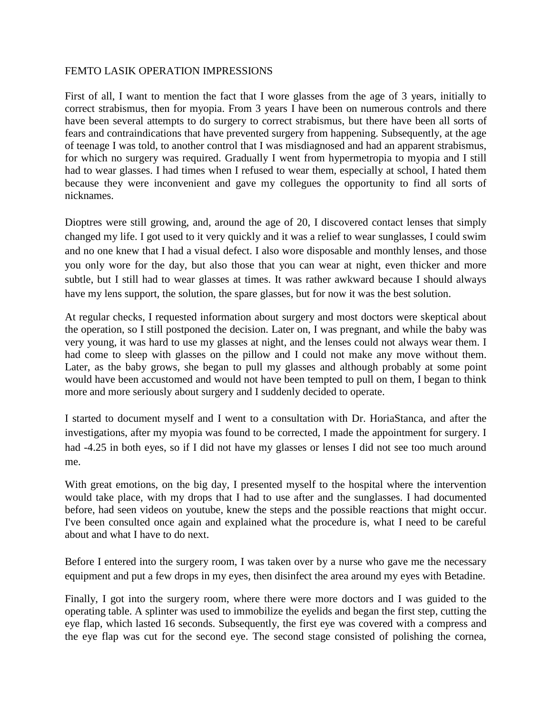## FEMTO LASIK OPERATION IMPRESSIONS

First of all, I want to mention the fact that I wore glasses from the age of 3 years, initially to correct strabismus, then for myopia. From 3 years I have been on numerous controls and there have been several attempts to do surgery to correct strabismus, but there have been all sorts of fears and contraindications that have prevented surgery from happening. Subsequently, at the age of teenage I was told, to another control that I was misdiagnosed and had an apparent strabismus, for which no surgery was required. Gradually I went from hypermetropia to myopia and I still had to wear glasses. I had times when I refused to wear them, especially at school, I hated them because they were inconvenient and gave my collegues the opportunity to find all sorts of nicknames.

Dioptres were still growing, and, around the age of 20, I discovered contact lenses that simply changed my life. I got used to it very quickly and it was a relief to wear sunglasses, I could swim and no one knew that I had a visual defect. I also wore disposable and monthly lenses, and those you only wore for the day, but also those that you can wear at night, even thicker and more subtle, but I still had to wear glasses at times. It was rather awkward because I should always have my lens support, the solution, the spare glasses, but for now it was the best solution.

At regular checks, I requested information about surgery and most doctors were skeptical about the operation, so I still postponed the decision. Later on, I was pregnant, and while the baby was very young, it was hard to use my glasses at night, and the lenses could not always wear them. I had come to sleep with glasses on the pillow and I could not make any move without them. Later, as the baby grows, she began to pull my glasses and although probably at some point would have been accustomed and would not have been tempted to pull on them, I began to think more and more seriously about surgery and I suddenly decided to operate.

I started to document myself and I went to a consultation with Dr. HoriaStanca, and after the investigations, after my myopia was found to be corrected, I made the appointment for surgery. I had -4.25 in both eyes, so if I did not have my glasses or lenses I did not see too much around me.

With great emotions, on the big day, I presented myself to the hospital where the intervention would take place, with my drops that I had to use after and the sunglasses. I had documented before, had seen videos on youtube, knew the steps and the possible reactions that might occur. I've been consulted once again and explained what the procedure is, what I need to be careful about and what I have to do next.

Before I entered into the surgery room, I was taken over by a nurse who gave me the necessary equipment and put a few drops in my eyes, then disinfect the area around my eyes with Betadine.

Finally, I got into the surgery room, where there were more doctors and I was guided to the operating table. A splinter was used to immobilize the eyelids and began the first step, cutting the eye flap, which lasted 16 seconds. Subsequently, the first eye was covered with a compress and the eye flap was cut for the second eye. The second stage consisted of polishing the cornea,